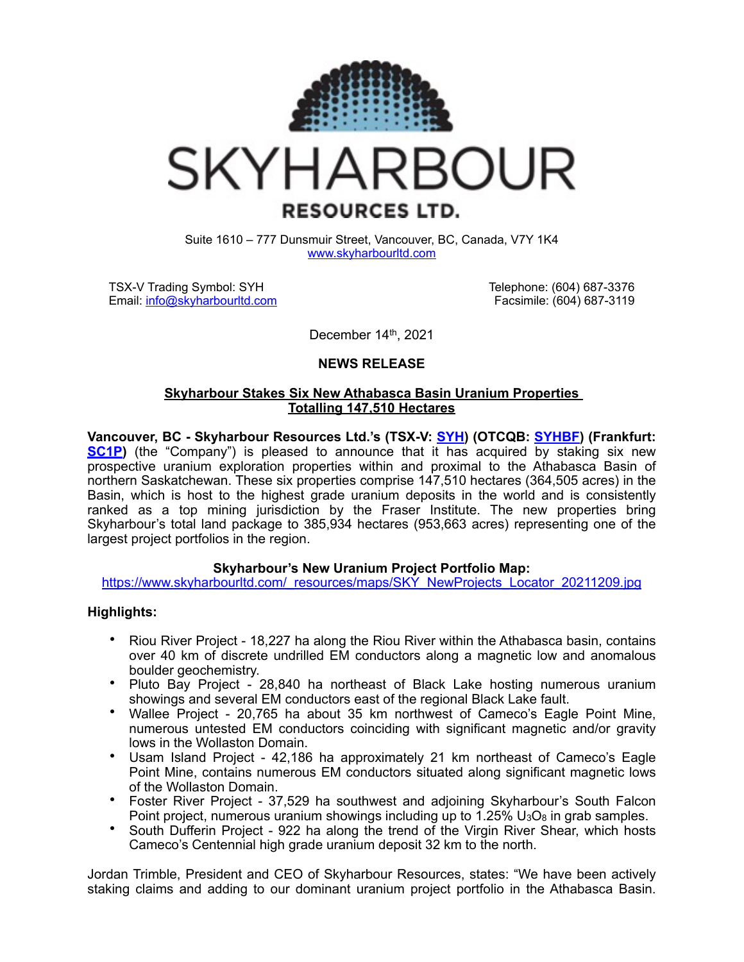

# **SKYHARBOUR RESOURCES LTD.**

Suite 1610 – 777 Dunsmuir Street, Vancouver, BC, Canada, V7Y 1K4 [www.skyharbourltd.com](http://www.skyharbourltd.com)

TSX-V Trading Symbol: SYH Email: [info@skyharbourltd.com](mailto:info@skyharbourltd.com)

Telephone: (604) 687-3376 Facsimile: (604) 687-3119

December 14th, 2021

# **NEWS RELEASE**

## **Skyharbour Stakes Six New Athabasca Basin Uranium Properties Totalling 147,510 Hectares**

**Vancouver, BC - Skyharbour Resources Ltd.'s (TSX-V: [SYH](https://money.tmx.com/en/quote/SYH)) (OTCQB: [SYHBF](https://www.otcmarkets.com/stock/SYHBF/news/story?e&id=1544003)) (Frankfurt: [SC1P\)](https://www.boerse-frankfurt.de/equity/skyharbour-resources)** (the "Company") is pleased to announce that it has acquired by staking six new prospective uranium exploration properties within and proximal to the Athabasca Basin of northern Saskatchewan. These six properties comprise 147,510 hectares (364,505 acres) in the Basin, which is host to the highest grade uranium deposits in the world and is consistently ranked as a top mining jurisdiction by the Fraser Institute. The new properties bring Skyharbour's total land package to 385,934 hectares (953,663 acres) representing one of the largest project portfolios in the region.

# **Skyharbour's New Uranium Project Portfolio Map:**

[https://www.skyharbourltd.com/\\_resources/maps/SKY\\_NewProjects\\_Locator\\_20211209.jpg](https://www.skyharbourltd.com/_resources/maps/SKY_NewProjects_Locator_20211209.jpg)

# **Highlights:**

- Riou River Project 18,227 ha along the Riou River within the Athabasca basin, contains over 40 km of discrete undrilled EM conductors along a magnetic low and anomalous boulder geochemistry.
- Pluto Bay Project 28,840 ha northeast of Black Lake hosting numerous uranium showings and several EM conductors east of the regional Black Lake fault.
- Wallee Project 20,765 ha about 35 km northwest of Cameco's Eagle Point Mine, numerous untested EM conductors coinciding with significant magnetic and/or gravity lows in the Wollaston Domain.
- Usam Island Project 42,186 ha approximately 21 km northeast of Cameco's Eagle Point Mine, contains numerous EM conductors situated along significant magnetic lows of the Wollaston Domain.
- Foster River Project 37,529 ha southwest and adjoining Skyharbour's South Falcon Point project, numerous uranium showings including up to  $1.25\%$  U<sub>3</sub>O<sub>8</sub> in grab samples.
- South Dufferin Project 922 ha along the trend of the Virgin River Shear, which hosts Cameco's Centennial high grade uranium deposit 32 km to the north.

Jordan Trimble, President and CEO of Skyharbour Resources, states: "We have been actively staking claims and adding to our dominant uranium project portfolio in the Athabasca Basin.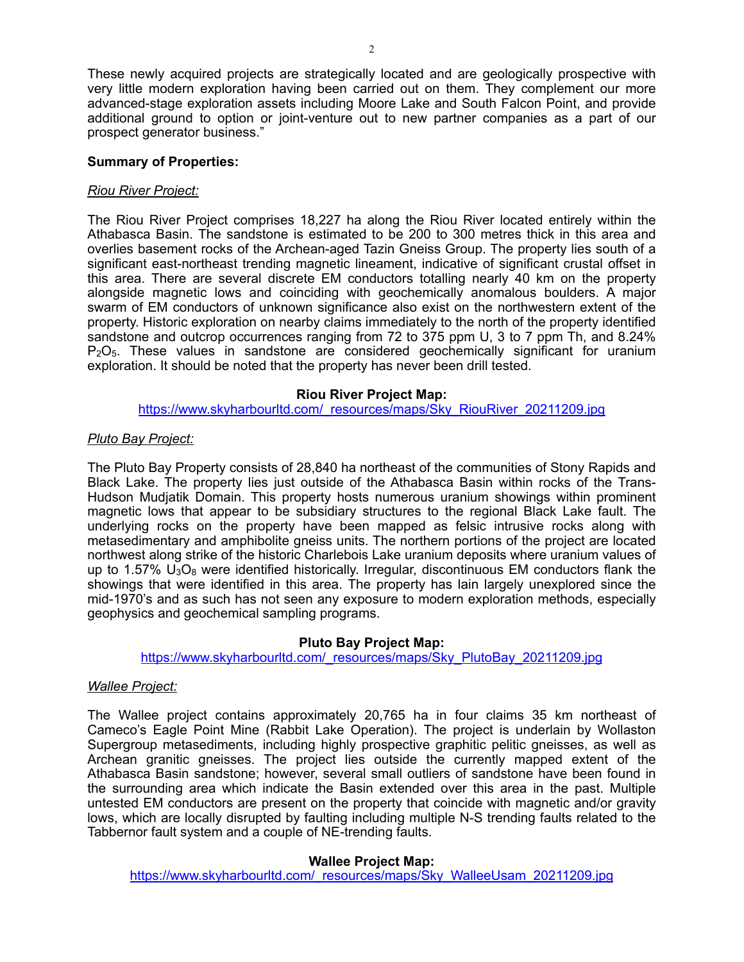These newly acquired projects are strategically located and are geologically prospective with very little modern exploration having been carried out on them. They complement our more advanced-stage exploration assets including Moore Lake and South Falcon Point, and provide additional ground to option or joint-venture out to new partner companies as a part of our prospect generator business."

#### **Summary of Properties:**

## *Riou River Project:*

The Riou River Project comprises 18,227 ha along the Riou River located entirely within the Athabasca Basin. The sandstone is estimated to be 200 to 300 metres thick in this area and overlies basement rocks of the Archean-aged Tazin Gneiss Group. The property lies south of a significant east-northeast trending magnetic lineament, indicative of significant crustal offset in this area. There are several discrete EM conductors totalling nearly 40 km on the property alongside magnetic lows and coinciding with geochemically anomalous boulders. A major swarm of EM conductors of unknown significance also exist on the northwestern extent of the property. Historic exploration on nearby claims immediately to the north of the property identified sandstone and outcrop occurrences ranging from 72 to 375 ppm U, 3 to 7 ppm Th, and 8.24% P2O5. These values in sandstone are considered geochemically significant for uranium exploration. It should be noted that the property has never been drill tested.

## **Riou River Project Map:**

[https://www.skyharbourltd.com/\\_resources/maps/Sky\\_RiouRiver\\_20211209.jpg](https://www.skyharbourltd.com/_resources/maps/Sky_RiouRiver_20211209.jpg)

## *Pluto Bay Project:*

The Pluto Bay Property consists of 28,840 ha northeast of the communities of Stony Rapids and Black Lake. The property lies just outside of the Athabasca Basin within rocks of the Trans-Hudson Mudjatik Domain. This property hosts numerous uranium showings within prominent magnetic lows that appear to be subsidiary structures to the regional Black Lake fault. The underlying rocks on the property have been mapped as felsic intrusive rocks along with metasedimentary and amphibolite gneiss units. The northern portions of the project are located northwest along strike of the historic Charlebois Lake uranium deposits where uranium values of up to 1.57%  $U_3O_8$  were identified historically. Irregular, discontinuous EM conductors flank the showings that were identified in this area. The property has lain largely unexplored since the mid-1970's and as such has not seen any exposure to modern exploration methods, especially geophysics and geochemical sampling programs.

#### **Pluto Bay Project Map:**

[https://www.skyharbourltd.com/\\_resources/maps/Sky\\_PlutoBay\\_20211209.jpg](https://www.skyharbourltd.com/_resources/maps/Sky_PlutoBay_20211209.jpg)

#### *Wallee Project:*

The Wallee project contains approximately 20,765 ha in four claims 35 km northeast of Cameco's Eagle Point Mine (Rabbit Lake Operation). The project is underlain by Wollaston Supergroup metasediments, including highly prospective graphitic pelitic gneisses, as well as Archean granitic gneisses. The project lies outside the currently mapped extent of the Athabasca Basin sandstone; however, several small outliers of sandstone have been found in the surrounding area which indicate the Basin extended over this area in the past. Multiple untested EM conductors are present on the property that coincide with magnetic and/or gravity lows, which are locally disrupted by faulting including multiple N-S trending faults related to the Tabbernor fault system and a couple of NE-trending faults.

#### **Wallee Project Map:**

[https://www.skyharbourltd.com/\\_resources/maps/Sky\\_WalleeUsam\\_20211209.jpg](https://www.skyharbourltd.com/_resources/maps/Sky_WalleeUsam_20211209.jpg)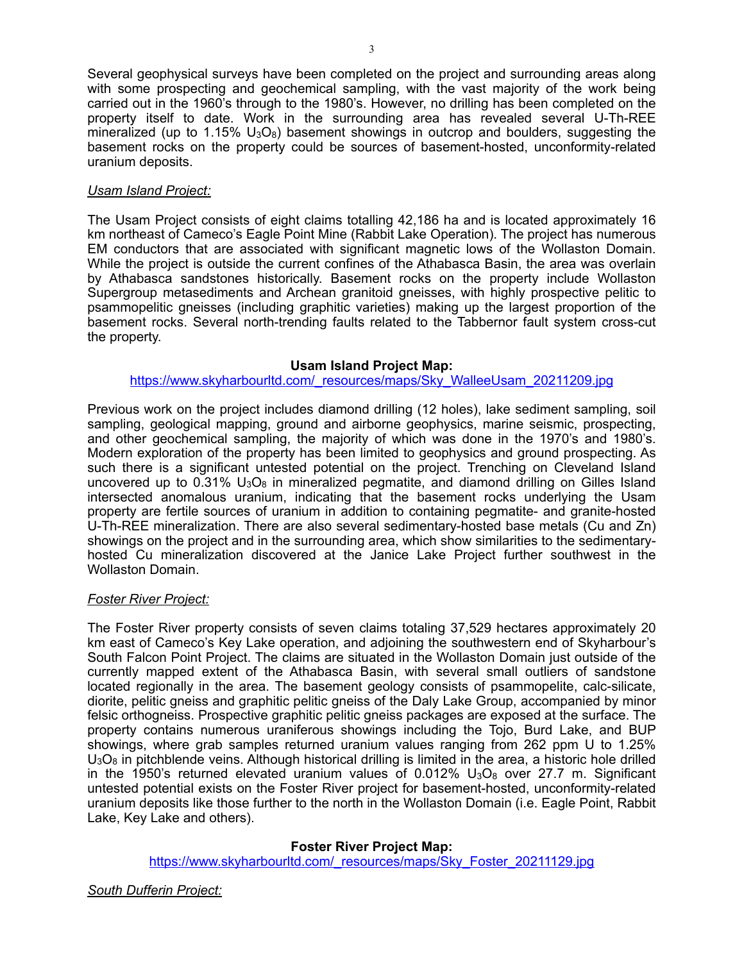Several geophysical surveys have been completed on the project and surrounding areas along with some prospecting and geochemical sampling, with the vast majority of the work being carried out in the 1960's through to the 1980's. However, no drilling has been completed on the property itself to date. Work in the surrounding area has revealed several U-Th-REE mineralized (up to  $1.15\%$  U<sub>3</sub>O<sub>8</sub>) basement showings in outcrop and boulders, suggesting the basement rocks on the property could be sources of basement-hosted, unconformity-related uranium deposits.

## *Usam Island Project:*

The Usam Project consists of eight claims totalling 42,186 ha and is located approximately 16 km northeast of Cameco's Eagle Point Mine (Rabbit Lake Operation). The project has numerous EM conductors that are associated with significant magnetic lows of the Wollaston Domain. While the project is outside the current confines of the Athabasca Basin, the area was overlain by Athabasca sandstones historically. Basement rocks on the property include Wollaston Supergroup metasediments and Archean granitoid gneisses, with highly prospective pelitic to psammopelitic gneisses (including graphitic varieties) making up the largest proportion of the basement rocks. Several north-trending faults related to the Tabbernor fault system cross-cut the property.

#### **Usam Island Project Map:**

## [https://www.skyharbourltd.com/\\_resources/maps/Sky\\_WalleeUsam\\_20211209.jpg](https://www.skyharbourltd.com/_resources/maps/Sky_WalleeUsam_20211209.jpg)

Previous work on the project includes diamond drilling (12 holes), lake sediment sampling, soil sampling, geological mapping, ground and airborne geophysics, marine seismic, prospecting, and other geochemical sampling, the majority of which was done in the 1970's and 1980's. Modern exploration of the property has been limited to geophysics and ground prospecting. As such there is a significant untested potential on the project. Trenching on Cleveland Island uncovered up to  $0.31\%$  U<sub>3</sub>O<sub>8</sub> in mineralized pegmatite, and diamond drilling on Gilles Island intersected anomalous uranium, indicating that the basement rocks underlying the Usam property are fertile sources of uranium in addition to containing pegmatite- and granite-hosted U-Th-REE mineralization. There are also several sedimentary-hosted base metals (Cu and Zn) showings on the project and in the surrounding area, which show similarities to the sedimentaryhosted Cu mineralization discovered at the Janice Lake Project further southwest in the Wollaston Domain.

# *Foster River Project:*

The Foster River property consists of seven claims totaling 37,529 hectares approximately 20 km east of Cameco's Key Lake operation, and adjoining the southwestern end of Skyharbour's South Falcon Point Project. The claims are situated in the Wollaston Domain just outside of the currently mapped extent of the Athabasca Basin, with several small outliers of sandstone located regionally in the area. The basement geology consists of psammopelite, calc-silicate, diorite, pelitic gneiss and graphitic pelitic gneiss of the Daly Lake Group, accompanied by minor felsic orthogneiss. Prospective graphitic pelitic gneiss packages are exposed at the surface. The property contains numerous uraniferous showings including the Tojo, Burd Lake, and BUP showings, where grab samples returned uranium values ranging from 262 ppm U to 1.25%  $U_3O_8$  in pitchblende veins. Although historical drilling is limited in the area, a historic hole drilled in the 1950's returned elevated uranium values of  $0.012\%$  U<sub>3</sub>O<sub>8</sub> over 27.7 m. Significant untested potential exists on the Foster River project for basement-hosted, unconformity-related uranium deposits like those further to the north in the Wollaston Domain (i.e. Eagle Point, Rabbit Lake, Key Lake and others).

# **Foster River Project Map:**

[https://www.skyharbourltd.com/\\_resources/maps/Sky\\_Foster\\_20211129.jpg](https://www.skyharbourltd.com/_resources/maps/Sky_Foster_20211129.jpg)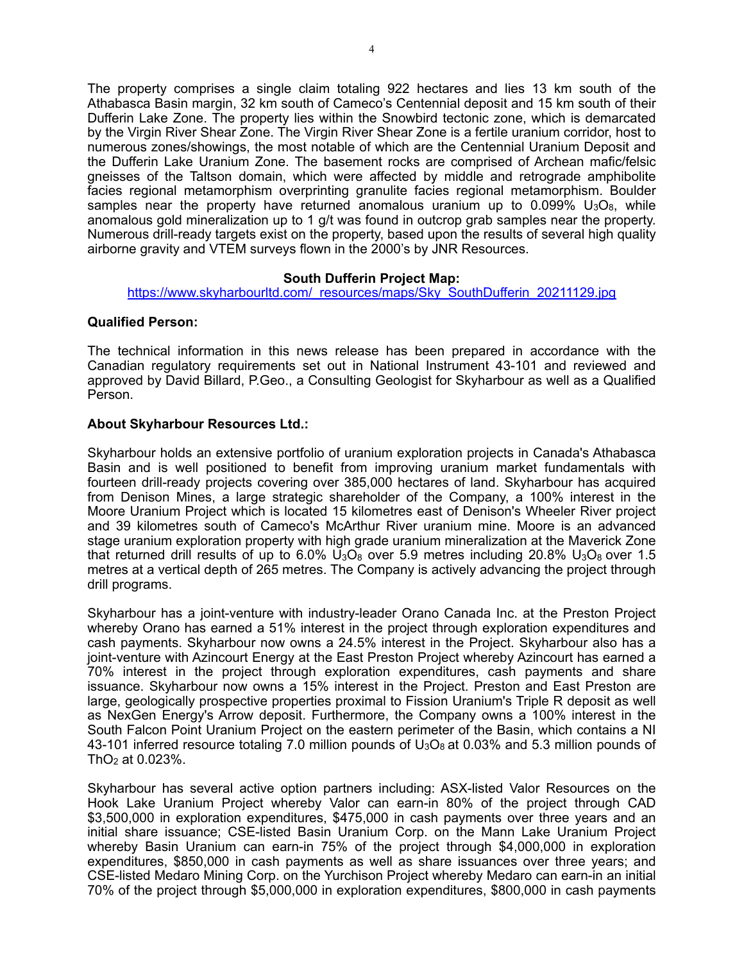The property comprises a single claim totaling 922 hectares and lies 13 km south of the Athabasca Basin margin, 32 km south of Cameco's Centennial deposit and 15 km south of their Dufferin Lake Zone. The property lies within the Snowbird tectonic zone, which is demarcated by the Virgin River Shear Zone. The Virgin River Shear Zone is a fertile uranium corridor, host to numerous zones/showings, the most notable of which are the Centennial Uranium Deposit and the Dufferin Lake Uranium Zone. The basement rocks are comprised of Archean mafic/felsic gneisses of the Taltson domain, which were affected by middle and retrograde amphibolite facies regional metamorphism overprinting granulite facies regional metamorphism. Boulder samples near the property have returned anomalous uranium up to  $0.099\%$  U<sub>3</sub>O<sub>8</sub>, while anomalous gold mineralization up to 1 g/t was found in outcrop grab samples near the property. Numerous drill-ready targets exist on the property, based upon the results of several high quality airborne gravity and VTEM surveys flown in the 2000's by JNR Resources.

## **South Dufferin Project Map:**

[https://www.skyharbourltd.com/\\_resources/maps/Sky\\_SouthDufferin\\_20211129.jpg](https://www.skyharbourltd.com/_resources/maps/Sky_SouthDufferin_20211129.jpg)

#### **Qualified Person:**

The technical information in this news release has been prepared in accordance with the Canadian regulatory requirements set out in National Instrument 43-101 and reviewed and approved by David Billard, P.Geo., a Consulting Geologist for Skyharbour as well as a Qualified Person.

## **About Skyharbour Resources Ltd.:**

Skyharbour holds an extensive portfolio of uranium exploration projects in Canada's Athabasca Basin and is well positioned to benefit from improving uranium market fundamentals with fourteen drill-ready projects covering over 385,000 hectares of land. Skyharbour has acquired from Denison Mines, a large strategic shareholder of the Company, a 100% interest in the Moore Uranium Project which is located 15 kilometres east of Denison's Wheeler River project and 39 kilometres south of Cameco's McArthur River uranium mine. Moore is an advanced stage uranium exploration property with high grade uranium mineralization at the Maverick Zone that returned drill results of up to  $6.0\%$  U<sub>3</sub>O<sub>8</sub> over 5.9 metres including 20.8% U<sub>3</sub>O<sub>8</sub> over 1.5 metres at a vertical depth of 265 metres. The Company is actively advancing the project through drill programs.

Skyharbour has a joint-venture with industry-leader Orano Canada Inc. at the Preston Project whereby Orano has earned a 51% interest in the project through exploration expenditures and cash payments. Skyharbour now owns a 24.5% interest in the Project. Skyharbour also has a joint-venture with Azincourt Energy at the East Preston Project whereby Azincourt has earned a 70% interest in the project through exploration expenditures, cash payments and share issuance. Skyharbour now owns a 15% interest in the Project. Preston and East Preston are large, geologically prospective properties proximal to Fission Uranium's Triple R deposit as well as NexGen Energy's Arrow deposit. Furthermore, the Company owns a 100% interest in the South Falcon Point Uranium Project on the eastern perimeter of the Basin, which contains a NI 43-101 inferred resource totaling 7.0 million pounds of  $U_3O_8$  at 0.03% and 5.3 million pounds of Th $O<sub>2</sub>$  at 0.023%.

Skyharbour has several active option partners including: ASX-listed Valor Resources on the Hook Lake Uranium Project whereby Valor can earn-in 80% of the project through CAD \$3,500,000 in exploration expenditures, \$475,000 in cash payments over three years and an initial share issuance; CSE-listed Basin Uranium Corp. on the Mann Lake Uranium Project whereby Basin Uranium can earn-in 75% of the project through \$4,000,000 in exploration expenditures, \$850,000 in cash payments as well as share issuances over three years; and CSE-listed Medaro Mining Corp. on the Yurchison Project whereby Medaro can earn-in an initial 70% of the project through \$5,000,000 in exploration expenditures, \$800,000 in cash payments